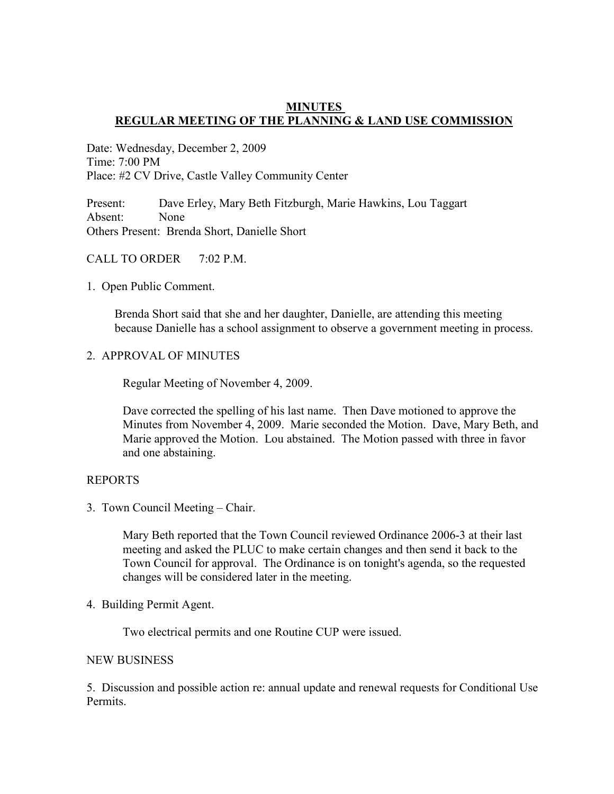## **MINUTES REGULAR MEETING OF THE PLANNING & LAND USE COMMISSION**

Date: Wednesday, December 2, 2009 Time: 7:00 PM Place: #2 CV Drive, Castle Valley Community Center

Present: Dave Erley, Mary Beth Fitzburgh, Marie Hawkins, Lou Taggart Absent: None Others Present: Brenda Short, Danielle Short

# CALL TO ORDER 7:02 P.M.

1. Open Public Comment.

 Brenda Short said that she and her daughter, Danielle, are attending this meeting because Danielle has a school assignment to observe a government meeting in process.

2. APPROVAL OF MINUTES

Regular Meeting of November 4, 2009.

 Dave corrected the spelling of his last name. Then Dave motioned to approve the Minutes from November 4, 2009. Marie seconded the Motion. Dave, Mary Beth, and Marie approved the Motion. Lou abstained. The Motion passed with three in favor and one abstaining.

# REPORTS

3. Town Council Meeting – Chair.

Mary Beth reported that the Town Council reviewed Ordinance 2006-3 at their last meeting and asked the PLUC to make certain changes and then send it back to the Town Council for approval. The Ordinance is on tonight's agenda, so the requested changes will be considered later in the meeting.

4. Building Permit Agent.

Two electrical permits and one Routine CUP were issued.

## NEW BUSINESS

5. Discussion and possible action re: annual update and renewal requests for Conditional Use Permits.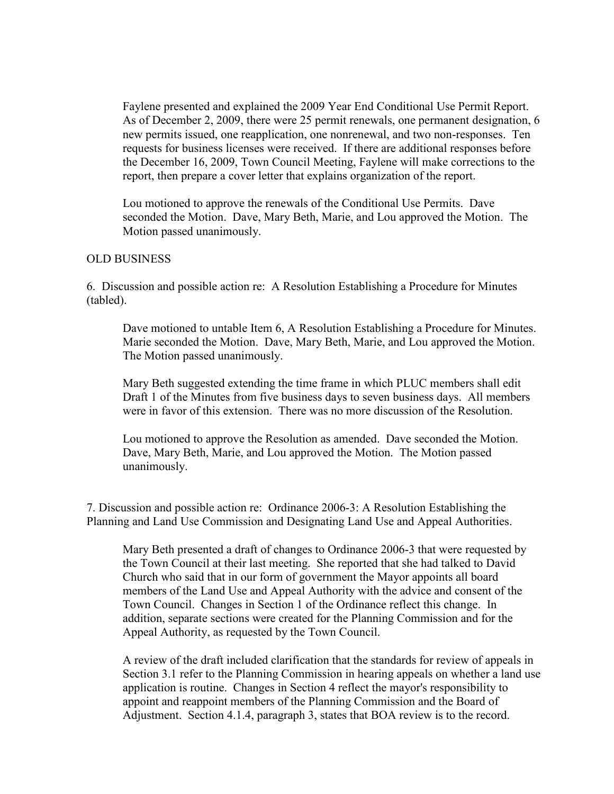Faylene presented and explained the 2009 Year End Conditional Use Permit Report. As of December 2, 2009, there were 25 permit renewals, one permanent designation, 6 new permits issued, one reapplication, one nonrenewal, and two non-responses. Ten requests for business licenses were received. If there are additional responses before the December 16, 2009, Town Council Meeting, Faylene will make corrections to the report, then prepare a cover letter that explains organization of the report.

 Lou motioned to approve the renewals of the Conditional Use Permits. Dave seconded the Motion. Dave, Mary Beth, Marie, and Lou approved the Motion. The Motion passed unanimously.

#### OLD BUSINESS

6. Discussion and possible action re: A Resolution Establishing a Procedure for Minutes (tabled).

 Dave motioned to untable Item 6, A Resolution Establishing a Procedure for Minutes. Marie seconded the Motion. Dave, Mary Beth, Marie, and Lou approved the Motion. The Motion passed unanimously.

 Mary Beth suggested extending the time frame in which PLUC members shall edit Draft 1 of the Minutes from five business days to seven business days. All members were in favor of this extension. There was no more discussion of the Resolution.

 Lou motioned to approve the Resolution as amended. Dave seconded the Motion. Dave, Mary Beth, Marie, and Lou approved the Motion. The Motion passed unanimously.

7. Discussion and possible action re: Ordinance 2006-3: A Resolution Establishing the Planning and Land Use Commission and Designating Land Use and Appeal Authorities.

 Mary Beth presented a draft of changes to Ordinance 2006-3 that were requested by the Town Council at their last meeting. She reported that she had talked to David Church who said that in our form of government the Mayor appoints all board members of the Land Use and Appeal Authority with the advice and consent of the Town Council. Changes in Section 1 of the Ordinance reflect this change. In addition, separate sections were created for the Planning Commission and for the Appeal Authority, as requested by the Town Council.

 A review of the draft included clarification that the standards for review of appeals in Section 3.1 refer to the Planning Commission in hearing appeals on whether a land use application is routine. Changes in Section 4 reflect the mayor's responsibility to appoint and reappoint members of the Planning Commission and the Board of Adjustment. Section 4.1.4, paragraph 3, states that BOA review is to the record.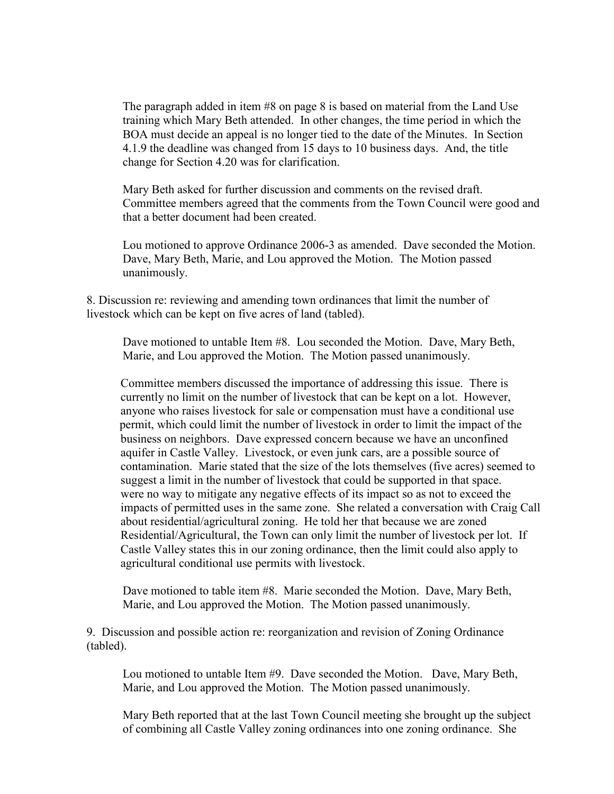The paragraph added in item #8 on page 8 is based on material from the Land Use training which Mary Beth attended. In other changes, the time period in which the BOA must decide an appeal is no longer tied to the date of the Minutes. In Section 4.1.9 the deadline was changed from 15 days to 10 business days. And, the title change for Section 4.20 was for clarification.

 Mary Beth asked for further discussion and comments on the revised draft. Committee members agreed that the comments from the Town Council were good and that a better document had been created.

 Lou motioned to approve Ordinance 2006-3 as amended. Dave seconded the Motion. Dave, Mary Beth, Marie, and Lou approved the Motion. The Motion passed unanimously.

8. Discussion re: reviewing and amending town ordinances that limit the number of livestock which can be kept on five acres of land (tabled).

 Dave motioned to untable Item #8. Lou seconded the Motion. Dave, Mary Beth, Marie, and Lou approved the Motion. The Motion passed unanimously.

 Committee members discussed the importance of addressing this issue. There is currently no limit on the number of livestock that can be kept on a lot. However, anyone who raises livestock for sale or compensation must have a conditional use permit, which could limit the number of livestock in order to limit the impact of the business on neighbors. Dave expressed concern because we have an unconfined aquifer in Castle Valley. Livestock, or even junk cars, are a possible source of contamination. Marie stated that the size of the lots themselves (five acres) seemed to suggest a limit in the number of livestock that could be supported in that space. were no way to mitigate any negative effects of its impact so as not to exceed the impacts of permitted uses in the same zone. She related a conversation with Craig Call about residential/agricultural zoning. He told her that because we are zoned Residential/Agricultural, the Town can only limit the number of livestock per lot. If Castle Valley states this in our zoning ordinance, then the limit could also apply to agricultural conditional use permits with livestock.

 Dave motioned to table item #8. Marie seconded the Motion. Dave, Mary Beth, Marie, and Lou approved the Motion. The Motion passed unanimously.

9. Discussion and possible action re: reorganization and revision of Zoning Ordinance (tabled).

 Lou motioned to untable Item #9. Dave seconded the Motion. Dave, Mary Beth, Marie, and Lou approved the Motion. The Motion passed unanimously.

 Mary Beth reported that at the last Town Council meeting she brought up the subject of combining all Castle Valley zoning ordinances into one zoning ordinance. She